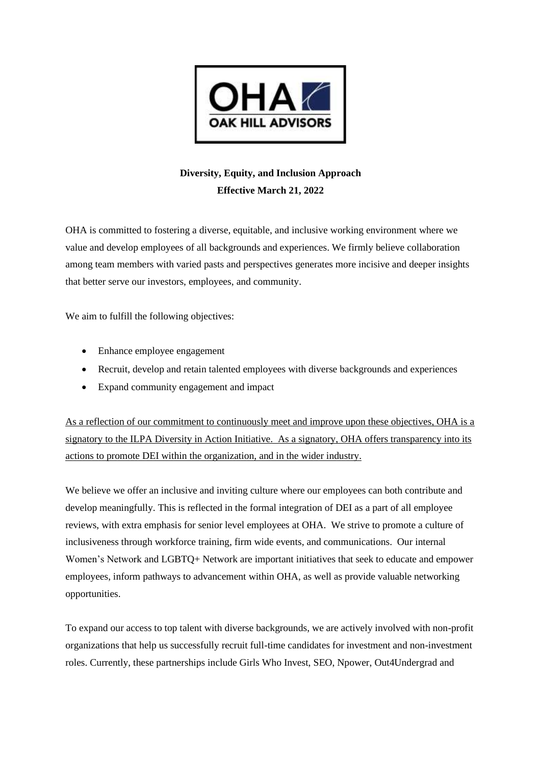

## **Diversity, Equity, and Inclusion Approach Effective March 21, 2022**

OHA is committed to fostering a diverse, equitable, and inclusive working environment where we value and develop employees of all backgrounds and experiences. We firmly believe collaboration among team members with varied pasts and perspectives generates more incisive and deeper insights that better serve our investors, employees, and community.

We aim to fulfill the following objectives:

- Enhance employee engagement
- Recruit, develop and retain talented employees with diverse backgrounds and experiences
- Expand community engagement and impact

As a reflection of our commitment to continuously meet and improve upon these objectives, OHA is a signatory to the ILPA Diversity in Action Initiative. As a signatory, OHA offers transparency into its actions to promote DEI within the organization, and in the wider industry.

We believe we offer an inclusive and inviting culture where our employees can both contribute and develop meaningfully. This is reflected in the formal integration of DEI as a part of all employee reviews, with extra emphasis for senior level employees at OHA. We strive to promote a culture of inclusiveness through workforce training, firm wide events, and communications. Our internal Women's Network and LGBTQ+ Network are important initiatives that seek to educate and empower employees, inform pathways to advancement within OHA, as well as provide valuable networking opportunities.

To expand our access to top talent with diverse backgrounds, we are actively involved with non-profit organizations that help us successfully recruit full-time candidates for investment and non-investment roles. Currently, these partnerships include Girls Who Invest, SEO, Npower, Out4Undergrad and